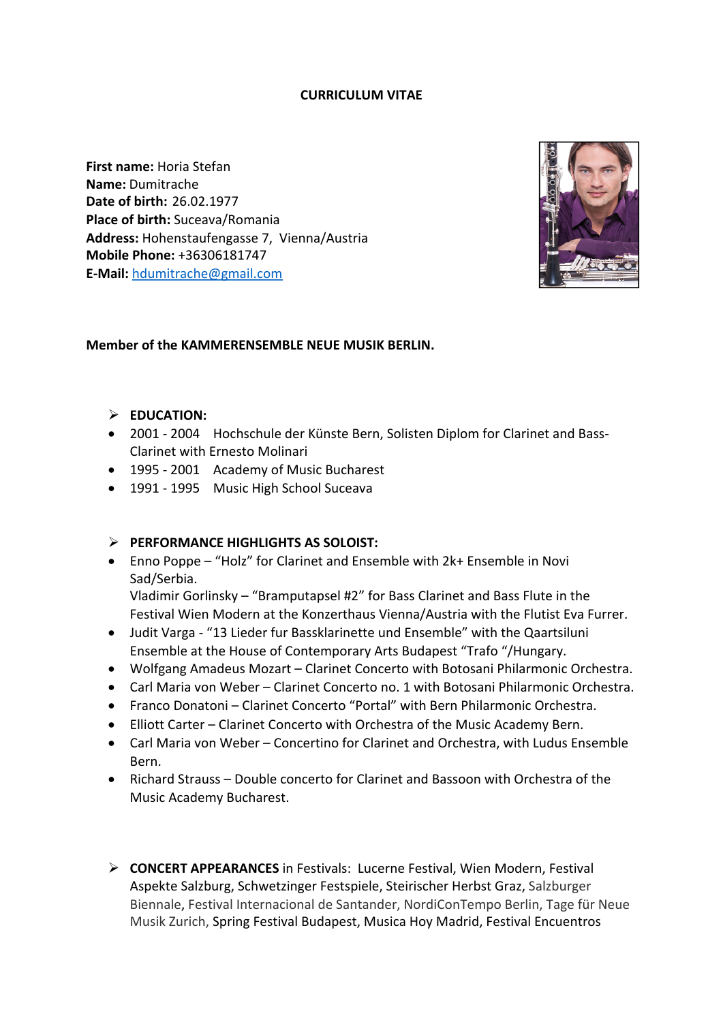### **CURRICULUM VITAE**

**First name: Horia Stefan Name:** Dumitrache **Date of birth: 26.02.1977 Place of birth:** Suceava/Romania Address: Hohenstaufengasse 7, Vienna/Austria **Mobile Phone:** +36306181747 **E-Mail:** hdumitrache@gmail.com



### **Member of the KAMMERENSEMBLE NEUE MUSIK BERLIN.**

### $\triangleright$  **EDUCATION:**

- 2001 2004 Hochschule der Künste Bern, Solisten Diplom for Clarinet and Bass-Clarinet with Ernesto Molinari
- 1995 2001 Academy of Music Bucharest
- 1991 1995 Music High School Suceava

### **EXECUTE:** PERFORMANCE HIGHLIGHTS AS SOLOIST:

• Enno Poppe – "Holz" for Clarinet and Ensemble with 2k+ Ensemble in Novi Sad/Serbia. 

Vladimir Gorlinsky – "Bramputapsel  $#2"$  for Bass Clarinet and Bass Flute in the Festival Wien Modern at the Konzerthaus Vienna/Austria with the Flutist Eva Furrer.

- Judit Varga "13 Lieder fur Bassklarinette und Ensemble" with the Qaartsiluni Ensemble at the House of Contemporary Arts Budapest "Trafo "/Hungary.
- Wolfgang Amadeus Mozart Clarinet Concerto with Botosani Philarmonic Orchestra.
- Carl Maria von Weber Clarinet Concerto no. 1 with Botosani Philarmonic Orchestra.
- Franco Donatoni Clarinet Concerto "Portal" with Bern Philarmonic Orchestra.
- Elliott Carter Clarinet Concerto with Orchestra of the Music Academy Bern.
- Carl Maria von Weber Concertino for Clarinet and Orchestra, with Ludus Ensemble Bern.
- Richard Strauss Double concerto for Clarinet and Bassoon with Orchestra of the Music Academy Bucharest.
- **► CONCERT APPEARANCES** in Festivals: Lucerne Festival, Wien Modern, Festival Aspekte Salzburg, Schwetzinger Festspiele, Steirischer Herbst Graz, Salzburger Biennale, Festival Internacional de Santander, NordiConTempo Berlin, Tage für Neue Musik Zurich, Spring Festival Budapest, Musica Hoy Madrid, Festival Encuentros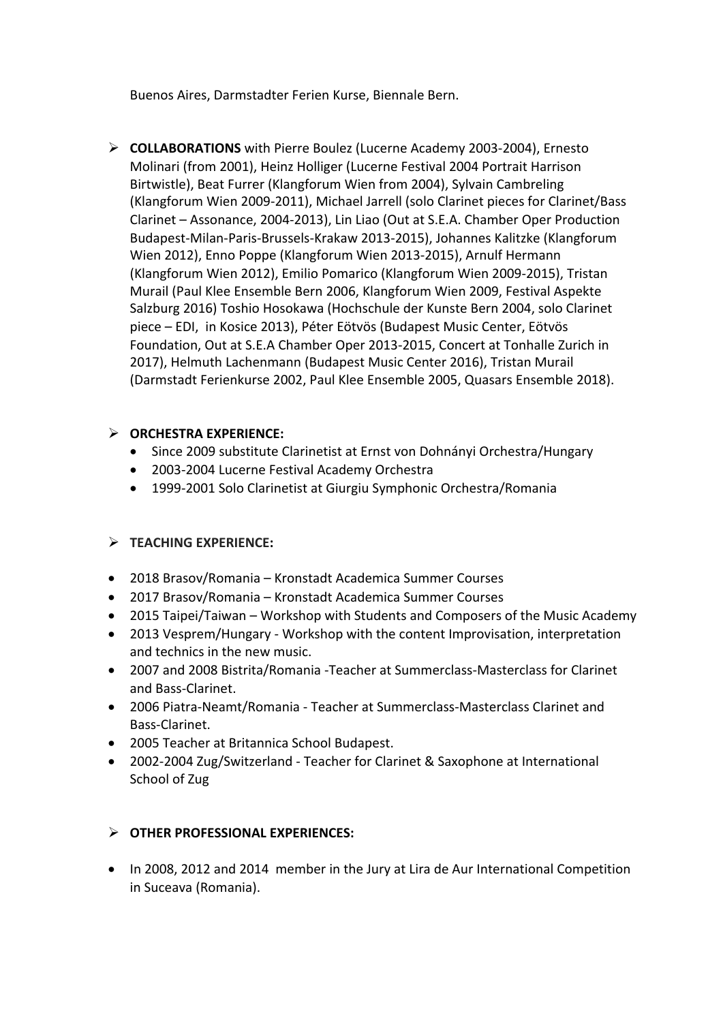Buenos Aires, Darmstadter Ferien Kurse, Biennale Bern.

Ø **COLLABORATIONS** with Pierre Boulez (Lucerne Academy 2003-2004), Ernesto Molinari (from 2001), Heinz Holliger (Lucerne Festival 2004 Portrait Harrison Birtwistle), Beat Furrer (Klangforum Wien from 2004), Sylvain Cambreling (Klangforum Wien 2009-2011), Michael Jarrell (solo Clarinet pieces for Clarinet/Bass Clarinet - Assonance, 2004-2013), Lin Liao (Out at S.E.A. Chamber Oper Production Budapest-Milan-Paris-Brussels-Krakaw 2013-2015), Johannes Kalitzke (Klangforum Wien 2012), Enno Poppe (Klangforum Wien 2013-2015), Arnulf Hermann (Klangforum Wien 2012), Emilio Pomarico (Klangforum Wien 2009-2015), Tristan Murail (Paul Klee Ensemble Bern 2006, Klangforum Wien 2009, Festival Aspekte Salzburg 2016) Toshio Hosokawa (Hochschule der Kunste Bern 2004, solo Clarinet piece – EDI, in Kosice 2013), Péter Eötvös (Budapest Music Center, Eötvös Foundation, Out at S.E.A Chamber Oper 2013-2015, Concert at Tonhalle Zurich in 2017), Helmuth Lachenmann (Budapest Music Center 2016), Tristan Murail (Darmstadt Ferienkurse 2002, Paul Klee Ensemble 2005, Quasars Ensemble 2018).

## Ø **ORCHESTRA EXPERIENCE:**

- Since 2009 substitute Clarinetist at Ernst von Dohnányi Orchestra/Hungary
- 2003-2004 Lucerne Festival Academy Orchestra
- 1999-2001 Solo Clarinetist at Giurgiu Symphonic Orchestra/Romania

## Ø **TEACHING EXPERIENCE:**

- 2018 Brasov/Romania Kronstadt Academica Summer Courses
- 2017 Brasov/Romania Kronstadt Academica Summer Courses
- 2015 Taipei/Taiwan Workshop with Students and Composers of the Music Academy
- 2013 Vesprem/Hungary Workshop with the content Improvisation, interpretation and technics in the new music.
- 2007 and 2008 Bistrita/Romania -Teacher at Summerclass-Masterclass for Clarinet and Bass-Clarinet.
- 2006 Piatra-Neamt/Romania Teacher at Summerclass-Masterclass Clarinet and Bass-Clarinet.
- 2005 Teacher at Britannica School Budapest.
- 2002-2004 Zug/Switzerland Teacher for Clarinet & Saxophone at International School of Zug

## Ø **OTHER PROFESSIONAL EXPERIENCES:**

• In 2008, 2012 and 2014 member in the Jury at Lira de Aur International Competition in Suceava (Romania).